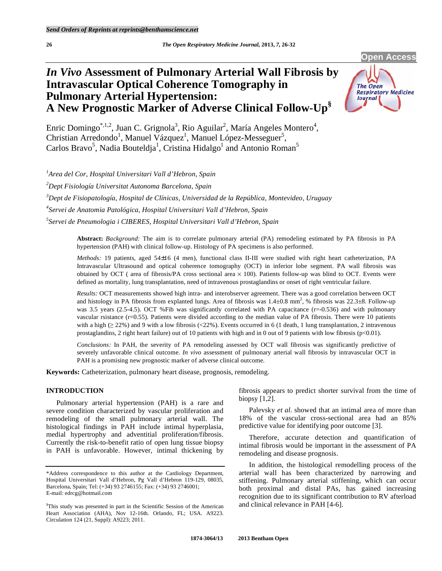# *In Vivo* **Assessment of Pulmonary Arterial Wall Fibrosis by Intravascular Optical Coherence Tomography in Pulmonary Arterial Hypertension: A New Prognostic Marker of Adverse Clinical Follow-Up§**



**Open Access** 

Enric Domingo<sup>\*,1,2</sup>, Juan C. Grignola<sup>3</sup>, Rio Aguilar<sup>2</sup>, María Angeles Montero<sup>4</sup>, Christian Arredondo<sup>1</sup>, Manuel Vázquez<sup>1</sup>, Manuel López-Messeguer<sup>5</sup>, Carlos Bravo<sup>5</sup>, Nadia Bouteldja<sup>1</sup>, Cristina Hidalgo<sup>1</sup> and Antonio Roman<sup>5</sup>

 *Area del Cor, Hospital Universitari Vall d'Hebron, Spain Dept Fisiología Universitat Autonoma Barcelona, Spain Dept de Fisiopatología, Hospital de Clínicas, Universidad de la República, Montevideo, Uruguay Servei de Anatomia Patológica, Hospital Universitari Vall d'Hebron, Spain Servei de Pneumologia i CIBERES, Hospital Universitari Vall d'Hebron, Spain* 

> **Abstract:** *Background:* The aim is to correlate pulmonary arterial (PA) remodeling estimated by PA fibrosis in PA hypertension (PAH) with clinical follow-up. Histology of PA specimens is also performed.

> *Methods:* 19 patients, aged 54±16 (4 men), functional class II-III were studied with right heart catheterization, PA Intravascular Ultrasound and optical coherence tomography (OCT) in inferior lobe segment. PA wall fibrosis was obtained by OCT ( area of fibrosis/PA cross sectional area  $\times$  100). Patients follow-up was blind to OCT. Events were defined as mortality, lung transplantation, need of intravenous prostaglandins or onset of right ventricular failure.

> *Results:* OCT measurements showed high intra- and interobserver agreement. There was a good correlation between OCT and histology in PA fibrosis from explanted lungs. Area of fibrosis was  $1.4\pm0.8$  mm<sup>2</sup>, % fibrosis was  $22.3\pm8$ . Follow-up was 3.5 years (2.5-4.5). OCT %Fib was significantly correlated with PA capacitance (r=-0.536) and with pulmonary vascular rsistance (r=0.55). Patients were divided according to the median value of PA fibrosis. There were 10 patients with a high  $(\geq 22\%)$  and 9 with a low fibrosis (<22%). Events occurred in 6 (1 death, 1 lung transplantation, 2 intravenous prostaglandins, 2 right heart failure) out of 10 patients with high and in 0 out of 9 patients with low fibrosis ( $p<0.01$ ).

> *Conclusions:* In PAH, the severity of PA remodeling assessed by OCT wall fibrosis was significantly predictive of severely unfavorable clinical outcome. *In vivo* assessment of pulmonary arterial wall fibrosis by intravascular OCT in PAH is a promising new prognostic marker of adverse clinical outcome.

**Keywords:** Catheterization, pulmonary heart disease, prognosis, remodeling.

# **INTRODUCTION**

 Pulmonary arterial hypertension (PAH) is a rare and severe condition characterized by vascular proliferation and remodeling of the small pulmonary arterial wall. The histological findings in PAH include intimal hyperplasia, medial hypertrophy and adventitial proliferation/fibrosis. Currently the risk-to-benefit ratio of open lung tissue biopsy in PAH is unfavorable. However, intimal thickening by

fibrosis appears to predict shorter survival from the time of biopsy [1,2].

Palevsky *et al.* showed that an intimal area of more than 18% of the vascular cross-sectional area had an 85% predictive value for identifying poor outcome [3].

 Therefore, accurate detection and quantification of intimal fibrosis would be important in the assessment of PA remodeling and disease prognosis.

 In addition, the histological remodelling process of the arterial wall has been characterized by narrowing and stiffening. Pulmonary arterial stiffening, which can occur both proximal and distal PAs, has gained increasing recognition due to its significant contribution to RV afterload and clinical relevance in PAH [4-6].

<sup>\*</sup>Address correspondence to this author at the Cardiology Department, Hospital Universitari Vall d'Hebron, Pg Vall d'Hebron 119-129, 08035, Barcelona, Spain; Tel: (+34) 93 2746155; Fax: (+34) 93 2746001; E-mail: edrcg@hotmail.com

<sup>§</sup> This study was presented in part in the Scientific Session of the American Heart Association (AHA), Nov 12-16th. Orlando, FL; USA. A9223. Circulation 124 (21, Suppl): A9223; 2011.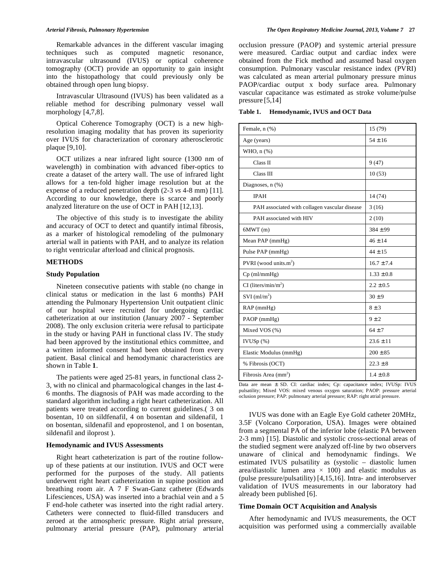Remarkable advances in the different vascular imaging techniques such as computed magnetic resonance, intravascular ultrasound (IVUS) or optical coherence tomography (OCT) provide an opportunity to gain insight into the histopathology that could previously only be obtained through open lung biopsy.

 Intravascular Ultrasound (IVUS) has been validated as a reliable method for describing pulmonary vessel wall morphology [4,7,8].

 Optical Coherence Tomography (OCT) is a new highresolution imaging modality that has proven its superiority over IVUS for characterization of coronary atherosclerotic plaque [9,10].

 OCT utilizes a near infrared light source (1300 nm of wavelength) in combination with advanced fiber-optics to create a dataset of the artery wall. The use of infrared light allows for a ten-fold higher image resolution but at the expense of a reduced penetration depth (2-3 *vs* 4-8 mm) [11]. According to our knowledge, there is scarce and poorly analyzed literature on the use of OCT in PAH [12,13].

 The objective of this study is to investigate the ability and accuracy of OCT to detect and quantify intimal fibrosis, as a marker of histological remodeling of the pulmonary arterial wall in patients with PAH, and to analyze its relation to right ventricular afterload and clinical prognosis.

## **METHODS**

# **Study Population**

 Nineteen consecutive patients with stable (no change in clinical status or medication in the last 6 months) PAH attending the Pulmonary Hypertension Unit outpatient clinic of our hospital were recruited for undergoing cardiac catheterization at our institution (January 2007 - September 2008). The only exclusion criteria were refusal to participate in the study or having PAH in functional class IV. The study had been approved by the institutional ethics committee, and a written informed consent had been obtained from every patient. Basal clinical and hemodymanic characteristics are shown in Table **1**.

 The patients were aged 25-81 years, in functional class 2- 3, with no clinical and pharmacological changes in the last 4- 6 months. The diagnosis of PAH was made according to the standard algorithm including a right heart catheterization. All patients were treated according to current guidelines.( 3 on bosentan, 10 on sildfenafil, 4 on bosentan and sildenafil, 1 on bosentan, sildenafil and epoprostenol, and 1 on bosentan, sildenafil and iloprost ).

## **Hemodynamic and IVUS Assessments**

 Right heart catheterization is part of the routine followup of these patients at our institution. IVUS and OCT were performed for the purposes of the study. All patients underwent right heart catheterization in supine position and breathing room air. A 7 F Swan-Ganz catheter (Edwards Lifesciences, USA) was inserted into a brachial vein and a 5 F end-hole catheter was inserted into the right radial artery. Catheters were connected to fluid-filled transducers and zeroed at the atmospheric pressure. Right atrial pressure, pulmonary arterial pressure (PAP), pulmonary arterial occlusion pressure (PAOP) and systemic arterial pressure were measured. Cardiac output and cardiac index were obtained from the Fick method and assumed basal oxygen consumption. Pulmonary vascular resistance index (PVRI) was calculated as mean arterial pulmonary pressure minus PAOP/cardiac output x body surface area. Pulmonary vascular capacitance was estimated as stroke volume/pulse pressure [5,14]

| Hemodynamic, IVUS and OCT Data<br>Table 1. |  |  |
|--------------------------------------------|--|--|
|--------------------------------------------|--|--|

| Female, n (%)                                 | 15 (79)        |
|-----------------------------------------------|----------------|
| Age (years)                                   | $54 \pm 16$    |
| WHO, $n$ $(\%)$                               |                |
| Class II                                      | 9(47)          |
| Class III                                     | 10(53)         |
| Diagnoses, n (%)                              |                |
| <b>IPAH</b>                                   | 14 (74)        |
| PAH associated with collagen vascular disease | 3(16)          |
| PAH associated with HIV                       | 2(10)          |
| 6MWT(m)                                       | $384 \pm 99$   |
| Mean PAP (mmHg)                               | $46 + 14$      |
| Pulse PAP (mmHg)                              | $44 + 15$      |
| PVRI (wood units. $m2$ )                      | $16.7 + 7.4$   |
| $Cp$ (ml/mm $Hg$ )                            | $1.33 \pm 0.8$ |
| $CI$ (liters/min/m <sup>2</sup> )             | $2.2 \pm 0.5$  |
| $SVI$ (ml/m <sup>2</sup> )                    | $30 \pm 9$     |
| RAP (mmHg)                                    | $8 \pm 3$      |
| PAOP (mmHg)                                   | $9 \pm 2$      |
| Mixed VOS (%)                                 | $64 \pm 7$     |
| IVUSp(%)                                      | $23.6 \pm 11$  |
| Elastic Modulus (mmHg)                        | $200 \pm 85$   |
| % Fibrosis (OCT)                              | $22.3 \pm 8$   |
| Fibrosis Area $(mm^2)$                        | $1.4 \pm 0.8$  |

Data are mean ± SD. CI: cardiac index; Cp: capacitance index; IVUSp: IVUS pulsatility; Mixed VOS: mixed venous oxygen saturation; PAOP: pressure arterial oclusion pressure; PAP: pulmonary arterial pressure; RAP: right atrial pressure.

 IVUS was done with an Eagle Eye Gold catheter 20MHz, 3.5F (Volcano Corporation, USA). Images were obtained from a segmental PA of the inferior lobe (elastic PA between 2-3 mm) [15]. Diastolic and systolic cross-sectional areas of the studied segment were analyzed off-line by two observers unaware of clinical and hemodynamic findings. We estimated IVUS pulsatility as (systolic – diastolic lumen area/diastolic lumen area  $\times$  100) and elastic modulus as (pulse pressure/pulsatility) [4,15,16]. Intra- and interobserver validation of IVUS measurements in our laboratory had already been published [6].

## **Time Domain OCT Acquisition and Analysis**

 After hemodynamic and IVUS measurements, the OCT acquisition was performed using a commercially available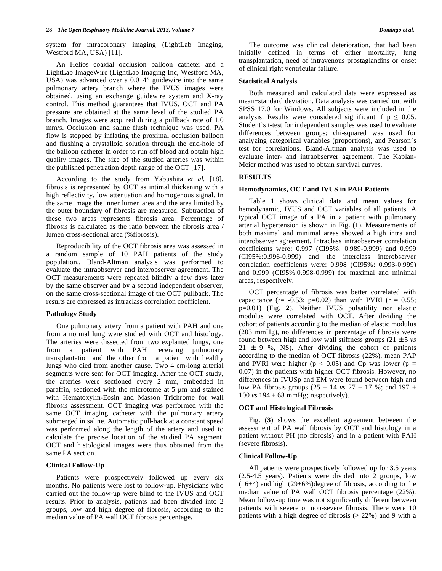system for intracoronary imaging (LightLab Imaging, Westford MA, USA) [11].

 An Helios coaxial occlusion balloon catheter and a LightLab ImageWire (LightLab Imaging Inc, Westford MA, USA) was advanced over a 0,014" guidewire into the same pulmonary artery branch where the IVUS images were obtained, using an exchange guidewire system and X-ray control. This method guarantees that IVUS, OCT and PA pressure are obtained at the same level of the studied PA branch. Images were acquired during a pullback rate of 1.0 mm/s. Occlusion and saline flush technique was used. PA flow is stopped by inflating the proximal occlusion balloon and flushing a crystalloid solution through the end-hole of the balloon catheter in order to run off blood and obtain high quality images. The size of the studied arteries was within the published penetration depth range of the OCT [17].

 According to the study from Yabushita *et al.* [18], fibrosis is represented by OCT as intimal thickening with a high reflectivity, low attenuation and homogenous signal. In the same image the inner lumen area and the area limited by the outer boundary of fibrosis are measured. Subtraction of these two areas represents fibrosis area. Percentage of fibrosis is calculated as the ratio between the fibrosis area / lumen cross-sectional area (%fibrosis).

 Reproducibility of the OCT fibrosis area was assessed in a random sample of 10 PAH patients of the study population.. Bland-Altman analysis was performed to evaluate the intraobserver and interobserver agreement. The OCT measurements were repeated blindly a few days later by the same observer and by a second independent observer, on the same cross-sectional image of the OCT pullback. The results are expressed as intraclass correlation coefficient.

#### **Pathology Study**

 One pulmonary artery from a patient with PAH and one from a normal lung were studied with OCT and histology. The arteries were dissected from two explanted lungs, one from a patient with PAH receiving pulmonary transplantation and the other from a patient with healthy lungs who died from another cause. Two 4 cm-long arterial segments were sent for OCT imaging. After the OCT study, the arteries were sectioned every 2 mm, embedded in paraffin, sectioned with the microtome at  $5 \mu m$  and stained with Hematoxylin-Eosin and Masson Trichrome for wall fibrosis assessment. OCT imaging was performed with the same OCT imaging catheter with the pulmonary artery submerged in saline. Automatic pull-back at a constant speed was performed along the length of the artery and used to calculate the precise location of the studied PA segment. OCT and histological images were thus obtained from the same PA section.

#### **Clinical Follow-Up**

 Patients were prospectively followed up every six months. No patients were lost to follow-up. Physicians who carried out the follow-up were blind to the IVUS and OCT results. Prior to analysis, patients had been divided into 2 groups, low and high degree of fibrosis, according to the median value of PA wall OCT fibrosis percentage.

 The outcome was clinical deterioration, that had been initially defined in terms of either mortality, lung transplantation, need of intravenous prostaglandins or onset of clinical right ventricular failure.

#### **Statistical Analysis**

 Both measured and calculated data were expressed as mean±standard deviation. Data analysis was carried out with SPSS 17.0 for Windows. All subjects were included in the analysis. Results were considered significant if  $p \leq 0.05$ . Student's t-test for independent samples was used to evaluate differences between groups; chi-squared was used for analyzing categorical variables (proportions), and Pearson's test for correlations. Bland-Altman analysis was used to evaluate inter- and intraobserver agreement. The Kaplan-Meier method was used to obtain survival curves.

#### **RESULTS**

## **Hemodynamics, OCT and IVUS in PAH Patients**

 Table **1** shows clinical data and mean values for hemodynamic, IVUS and OCT variables of all patients. A typical OCT image of a PA in a patient with pulmonary arterial hypertension is shown in Fig. (**1**). Measurements of both maximal and minimal areas showed a high intra and interobserver agreement. Intraclass intraobserver correlation coefficients were: 0.997 (CI95%: 0.989-0.999) and 0.999 (CI95%:0.996-0.999) and the interclass interobserver correlation coefficients were: 0.998 (CI95%: 0.993-0.999) and 0.999 (CI95%:0.998-0.999) for maximal and minimal areas, respectively.

 OCT percentage of fibrosis was better correlated with capacitance (r=  $-0.53$ ; p=0.02) than with PVRI (r = 0.55; p=0.01) (Fig. **2**). Neither IVUS pulsatility nor elastic modulus were correlated with OCT. After dividing the cohort of patients according to the median of elastic modulus (203 mmHg), no differences in percentage of fibrosis were found between high and low wall stiffness groups (21 ± 5 *vs*  $21 \pm 9$  %, NS). After dividing the cohort of patients according to the median of OCT fibrosis (22%), mean PAP and PVRI were higher ( $p < 0.05$ ) and Cp was lower ( $p =$ 0.07) in the patients with higher OCT fibrosis. However, no differences in IVUSp and EM were found between high and low PA fibrosis groups (25 ± 14 *vs* 27 ± 17 %; and 197 ± 100 *vs*  $194 \pm 68$  mmHg; respectively).

## **OCT and Histological Fibrosis**

 Fig. (**3**) shows the excellent agreement between the assessment of PA wall fibrosis by OCT and histology in a patient without PH (no fibrosis) and in a patient with PAH (severe fibrosis).

#### **Clinical Follow-Up**

 All patients were prospectively followed up for 3.5 years (2.5-4.5 years). Patients were divided into 2 groups, low  $(16±4)$  and high  $(29±6%)$  degree of fibrosis, according to the median value of PA wall OCT fibrosis percentage (22%). Mean follow-up time was not significantly different between patients with severe or non-severe fibrosis. There were 10 patients with a high degree of fibrosis ( $\geq$  22%) and 9 with a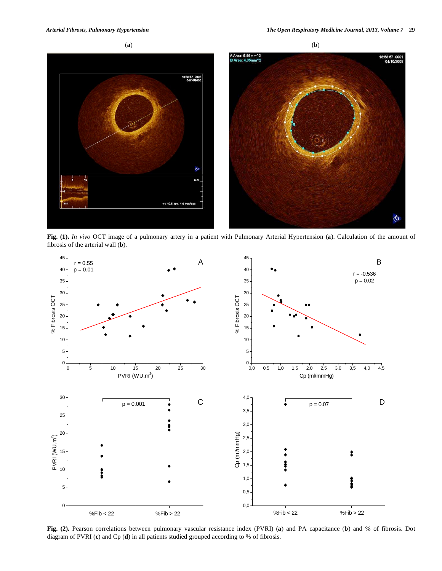

**Fig. (1).** *In vivo* OCT image of a pulmonary artery in a patient with Pulmonary Arterial Hypertension (**a**). Calculation of the amount of fibrosis of the arterial wall (**b**).



**Fig. (2).** Pearson correlations between pulmonary vascular resistance index (PVRI) (**a**) and PA capacitance (**b**) and % of fibrosis. Dot diagram of PVRI (**c**) and Cp (**d**) in all patients studied grouped according to % of fibrosis.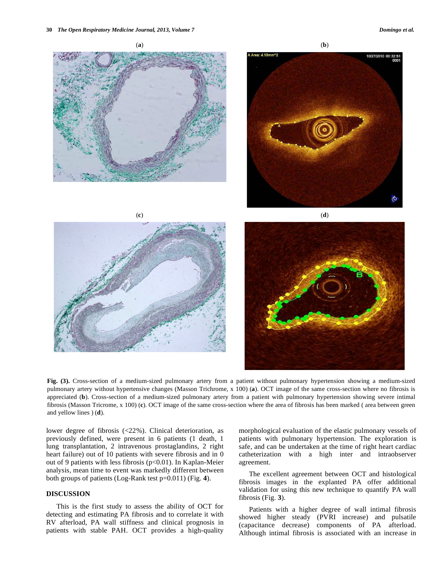

**Fig. (3).** Cross-section of a medium-sized pulmonary artery from a patient without pulmonary hypertension showing a medium-sized pulmonary artery without hypertensive changes (Masson Trichrome, x 100) (**a**). OCT image of the same cross-section where no fibrosis is appreciated (**b**). Cross-section of a medium-sized pulmonary artery from a patient with pulmonary hypertension showing severe intimal fibrosis (Masson Tricrome, x 100) (**c**). OCT image of the same cross-section where the area of fibrosis has been marked ( area between green and yellow lines ) (**d**).

lower degree of fibrosis (<22%). Clinical deterioration, as previously defined, were present in 6 patients (1 death, 1 lung transplantation, 2 intravenous prostaglandins, 2 right heart failure) out of 10 patients with severe fibrosis and in 0 out of 9 patients with less fibrosis ( $p<0.01$ ). In Kaplan-Meier analysis, mean time to event was markedly different between both groups of patients (Log-Rank test p=0.011) (Fig. **4**).

# **DISCUSSION**

 This is the first study to assess the ability of OCT for detecting and estimating PA fibrosis and to correlate it with RV afterload, PA wall stiffness and clinical prognosis in patients with stable PAH. OCT provides a high-quality

morphological evaluation of the elastic pulmonary vessels of patients with pulmonary hypertension. The exploration is safe, and can be undertaken at the time of right heart cardiac catheterization with a high inter and intraobserver agreement.

 The excellent agreement between OCT and histological fibrosis images in the explanted PA offer additional validation for using this new technique to quantify PA wall fibrosis (Fig. **3**).

 Patients with a higher degree of wall intimal fibrosis showed higher steady (PVRI increase) and pulsatile (capacitance decrease) components of PA afterload. Although intimal fibrosis is associated with an increase in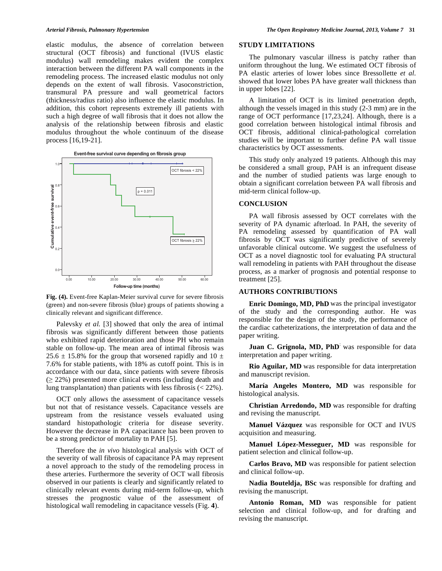elastic modulus, the absence of correlation between structural (OCT fibrosis) and functional (IVUS elastic modulus) wall remodeling makes evident the complex interaction between the different PA wall components in the remodeling process. The increased elastic modulus not only depends on the extent of wall fibrosis. Vasoconstriction, transmural PA pressure and wall geometrical factors (thickness/radius ratio) also influence the elastic modulus. In addition, this cohort represents extremely ill patients with such a high degree of wall fibrosis that it does not allow the analysis of the relationship between fibrosis and elastic modulus throughout the whole continuum of the disease process [16,19-21].





**Fig. (4).** Event-free Kaplan-Meier survival curve for severe fibrosis (green) and non-severe fibrosis (blue) groups of patients showing a clinically relevant and significant difference.

Palevsky *et al.* [3] showed that only the area of intimal fibrosis was significantly different between those patients who exhibited rapid deterioration and those PH who remain stable on follow-up. The mean area of intimal fibrosis was 25.6  $\pm$  15.8% for the group that worsened rapidly and 10  $\pm$ 7.6% for stable patients, with 18% as cutoff point. This is in accordance with our data, since patients with severe fibrosis  $( \geq 22\%)$  presented more clinical events (including death and lung transplantation) than patients with less fibrosis  $\left($  < 22%).

 OCT only allows the assessment of capacitance vessels but not that of resistance vessels. Capacitance vessels are upstream from the resistance vessels evaluated using standard histopathologic criteria for disease severity. However the decrease in PA capacitance has been proven to be a strong predictor of mortality tn PAH [5].

 Therefore the *in vivo* histological analysis with OCT of the severity of wall fibrosis of capacitance PA may represent a novel approach to the study of the remodeling process in these arteries. Furthermore the severity of OCT wall fibrosis observed in our patients is clearly and significantly related to clinically relevant events during mid-term follow-up, which stresses the prognostic value of the assessment of histological wall remodeling in capacitance vessels (Fig. **4**).

## **STUDY LIMITATIONS**

 The pulmonary vascular illness is patchy rather than uniform throughout the lung. We estimated OCT fibrosis of PA elastic arteries of lower lobes since Bressollette *et al.*  showed that lower lobes PA have greater wall thickness than in upper lobes [22].

 A limitation of OCT is its limited penetration depth, although the vessels imaged in this study (2-3 mm) are in the range of OCT performance [17,23,24]. Although, there is a good correlation between histological intimal fibrosis and OCT fibrosis, additional clinical-pathological correlation studies will be important to further define PA wall tissue characteristics by OCT assessments.

 This study only analyzed 19 patients. Although this may be considered a small group, PAH is an infrequent disease and the number of studied patients was large enough to obtain a significant correlation between PA wall fibrosis and mid-term clinical follow-up.

# **CONCLUSION**

 PA wall fibrosis assessed by OCT correlates with the severity of PA dynamic afterload. In PAH, the severity of PA remodeling assessed by quantification of PA wall fibrosis by OCT was significantly predictive of severely unfavorable clinical outcome. We suggest the usefulness of OCT as a novel diagnostic tool for evaluating PA structural wall remodeling in patients with PAH throughout the disease process, as a marker of prognosis and potential response to treatment [25].

#### **AUTHORS CONTRIBUTIONS**

 **Enric Domingo, MD, PhD** was the principal investigator of the study and the corresponding author. He was responsible for the design of the study, the performance of the cardiac catheterizations, the interpretation of data and the paper writing.

 **Juan C. Grignola, MD, PhD**: was responsible for data interpretation and paper writing.

 **Rio Aguilar, MD** was responsible for data interpretation and manuscript revision.

 **María Angeles Montero, MD** was responsible for histological analysis.

 **Christian Arredondo, MD** was responsible for drafting and revising the manuscript.

 **Manuel Vázquez** was responsible for OCT and IVUS acquisition and measuring.

 **Manuel López-Messeguer, MD** was responsible for patient selection and clinical follow-up.

 **Carlos Bravo, MD** was responsible for patient selection and clinical follow-up.

 **Nadia Bouteldja, BSc** was responsible for drafting and revising the manuscript.

 **Antonio Roman, MD** was responsible for patient selection and clinical follow-up, and for drafting and revising the manuscript.